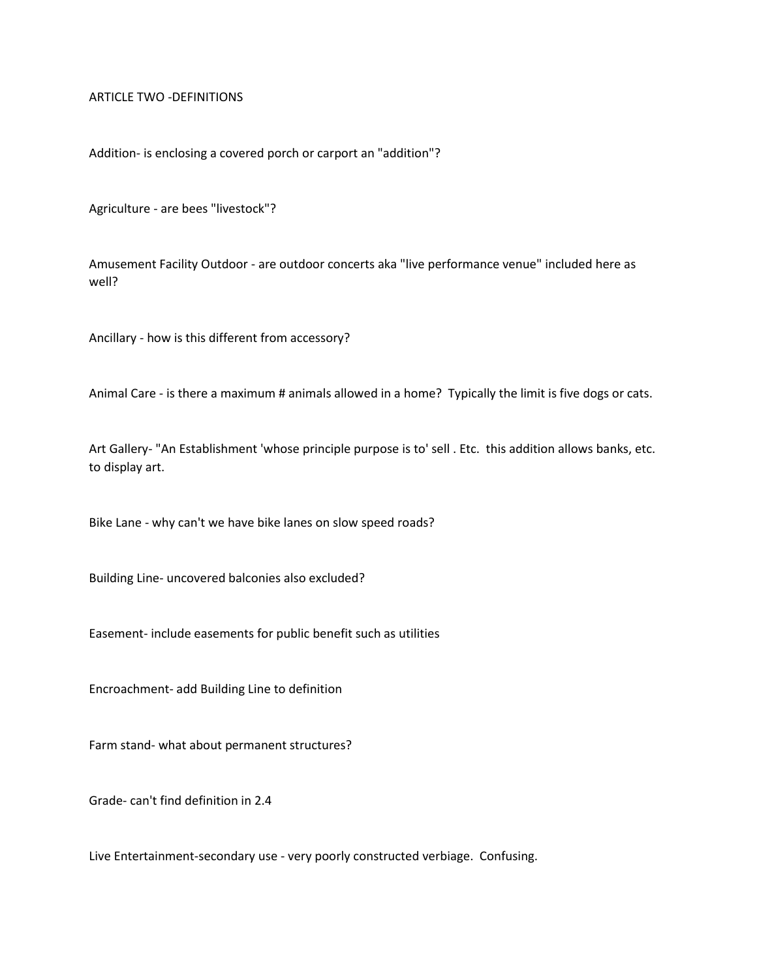ARTICLE TWO -DEFINITIONS

Addition- is enclosing a covered porch or carport an "addition"?

Agriculture - are bees "livestock"?

Amusement Facility Outdoor - are outdoor concerts aka "live performance venue" included here as well?

Ancillary - how is this different from accessory?

Animal Care - is there a maximum # animals allowed in a home? Typically the limit is five dogs or cats.

Art Gallery- "An Establishment 'whose principle purpose is to' sell . Etc. this addition allows banks, etc. to display art.

Bike Lane - why can't we have bike lanes on slow speed roads?

Building Line- uncovered balconies also excluded?

Easement- include easements for public benefit such as utilities

Encroachment- add Building Line to definition

Farm stand- what about permanent structures?

Grade- can't find definition in 2.4

Live Entertainment-secondary use - very poorly constructed verbiage. Confusing.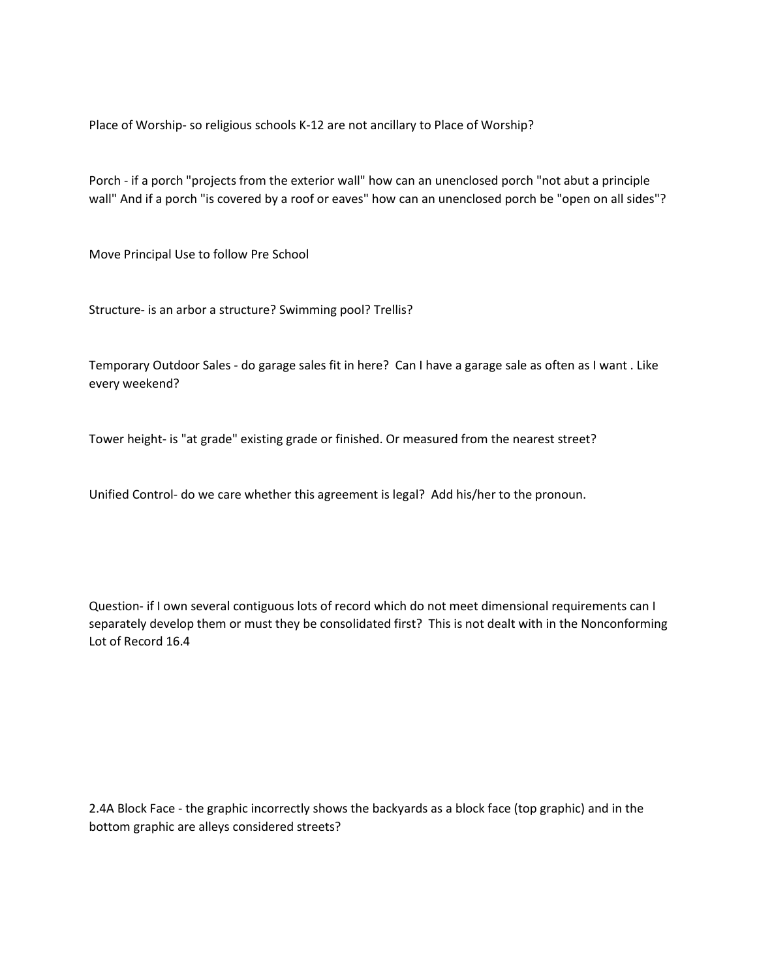Place of Worship- so religious schools K-12 are not ancillary to Place of Worship?

Porch - if a porch "projects from the exterior wall" how can an unenclosed porch "not abut a principle wall" And if a porch "is covered by a roof or eaves" how can an unenclosed porch be "open on all sides"?

Move Principal Use to follow Pre School

Structure- is an arbor a structure? Swimming pool? Trellis?

Temporary Outdoor Sales - do garage sales fit in here? Can I have a garage sale as often as I want . Like every weekend?

Tower height- is "at grade" existing grade or finished. Or measured from the nearest street?

Unified Control- do we care whether this agreement is legal? Add his/her to the pronoun.

Question- if I own several contiguous lots of record which do not meet dimensional requirements can I separately develop them or must they be consolidated first? This is not dealt with in the Nonconforming Lot of Record 16.4

2.4A Block Face - the graphic incorrectly shows the backyards as a block face (top graphic) and in the bottom graphic are alleys considered streets?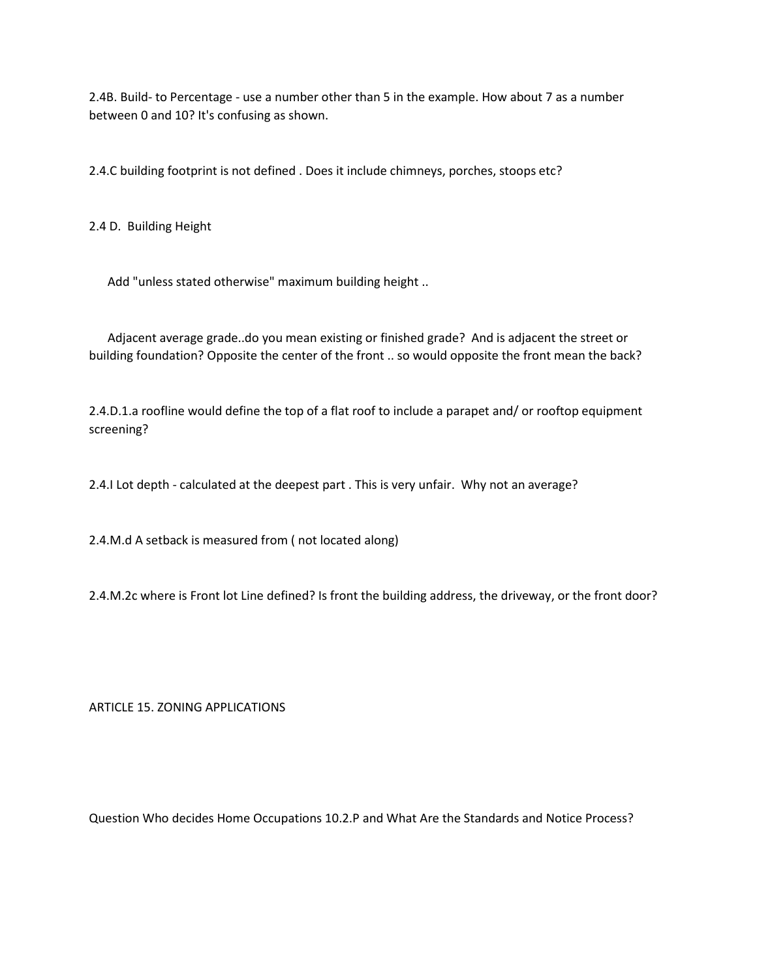2.4B. Build- to Percentage - use a number other than 5 in the example. How about 7 as a number between 0 and 10? It's confusing as shown.

2.4.C building footprint is not defined . Does it include chimneys, porches, stoops etc?

2.4 D. Building Height

Add "unless stated otherwise" maximum building height ..

 Adjacent average grade..do you mean existing or finished grade? And is adjacent the street or building foundation? Opposite the center of the front .. so would opposite the front mean the back?

2.4.D.1.a roofline would define the top of a flat roof to include a parapet and/ or rooftop equipment screening?

2.4.I Lot depth - calculated at the deepest part . This is very unfair. Why not an average?

2.4.M.d A setback is measured from ( not located along)

2.4.M.2c where is Front lot Line defined? Is front the building address, the driveway, or the front door?

ARTICLE 15. ZONING APPLICATIONS

Question Who decides Home Occupations 10.2.P and What Are the Standards and Notice Process?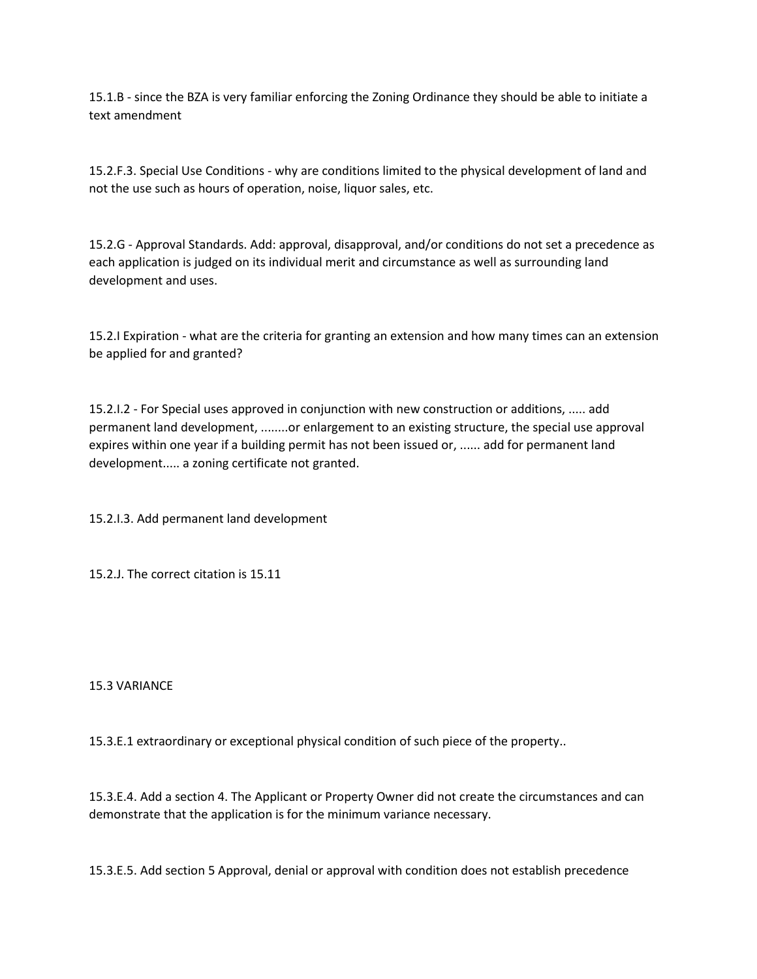15.1.B - since the BZA is very familiar enforcing the Zoning Ordinance they should be able to initiate a text amendment

15.2.F.3. Special Use Conditions - why are conditions limited to the physical development of land and not the use such as hours of operation, noise, liquor sales, etc.

15.2.G - Approval Standards. Add: approval, disapproval, and/or conditions do not set a precedence as each application is judged on its individual merit and circumstance as well as surrounding land development and uses.

15.2.I Expiration - what are the criteria for granting an extension and how many times can an extension be applied for and granted?

15.2.I.2 - For Special uses approved in conjunction with new construction or additions, ..... add permanent land development, ........or enlargement to an existing structure, the special use approval expires within one year if a building permit has not been issued or, ...... add for permanent land development..... a zoning certificate not granted.

15.2.I.3. Add permanent land development

15.2.J. The correct citation is 15.11

15.3 VARIANCE

15.3.E.1 extraordinary or exceptional physical condition of such piece of the property..

15.3.E.4. Add a section 4. The Applicant or Property Owner did not create the circumstances and can demonstrate that the application is for the minimum variance necessary.

15.3.E.5. Add section 5 Approval, denial or approval with condition does not establish precedence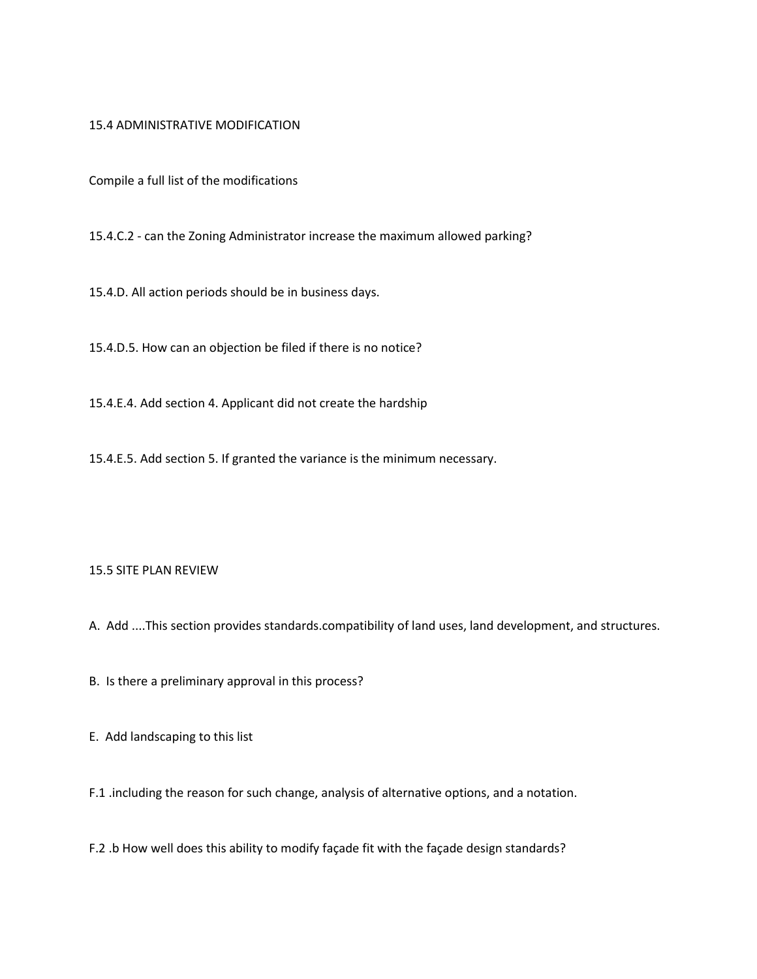## 15.4 ADMINISTRATIVE MODIFICATION

Compile a full list of the modifications

15.4.C.2 - can the Zoning Administrator increase the maximum allowed parking?

15.4.D. All action periods should be in business days.

15.4.D.5. How can an objection be filed if there is no notice?

15.4.E.4. Add section 4. Applicant did not create the hardship

15.4.E.5. Add section 5. If granted the variance is the minimum necessary.

## 15.5 SITE PLAN REVIEW

A. Add ....This section provides standards.compatibility of land uses, land development, and structures.

B. Is there a preliminary approval in this process?

E. Add landscaping to this list

F.1 .including the reason for such change, analysis of alternative options, and a notation.

F.2 .b How well does this ability to modify façade fit with the façade design standards?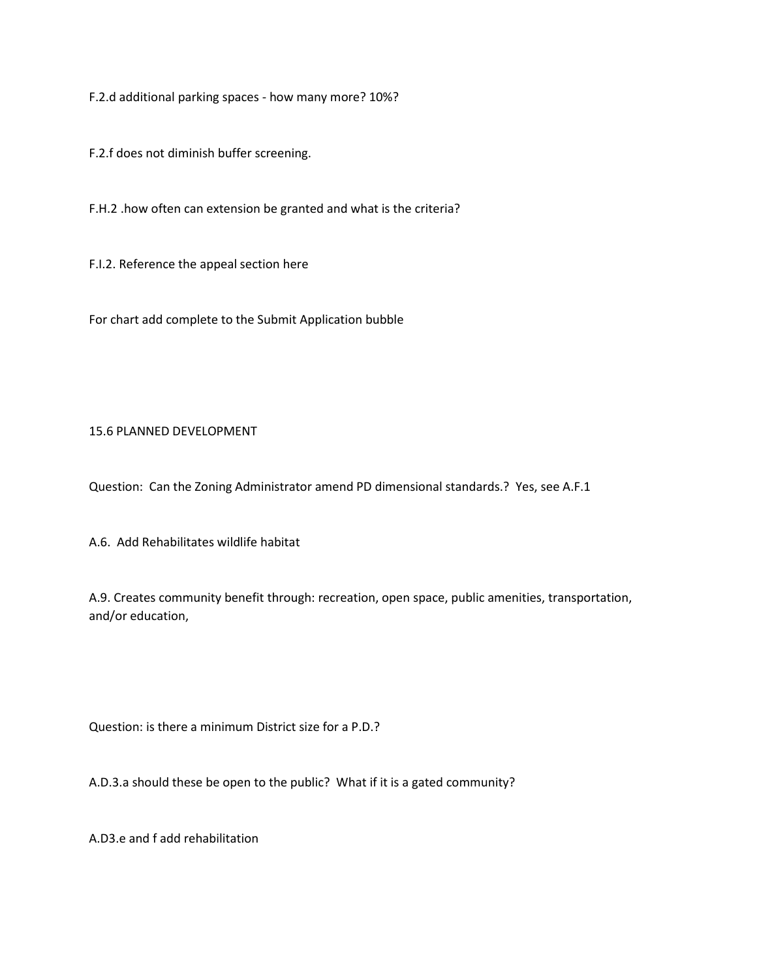F.2.d additional parking spaces - how many more? 10%?

F.2.f does not diminish buffer screening.

F.H.2 .how often can extension be granted and what is the criteria?

F.I.2. Reference the appeal section here

For chart add complete to the Submit Application bubble

# 15.6 PLANNED DEVELOPMENT

Question: Can the Zoning Administrator amend PD dimensional standards.? Yes, see A.F.1

A.6. Add Rehabilitates wildlife habitat

A.9. Creates community benefit through: recreation, open space, public amenities, transportation, and/or education,

Question: is there a minimum District size for a P.D.?

A.D.3.a should these be open to the public? What if it is a gated community?

A.D3.e and f add rehabilitation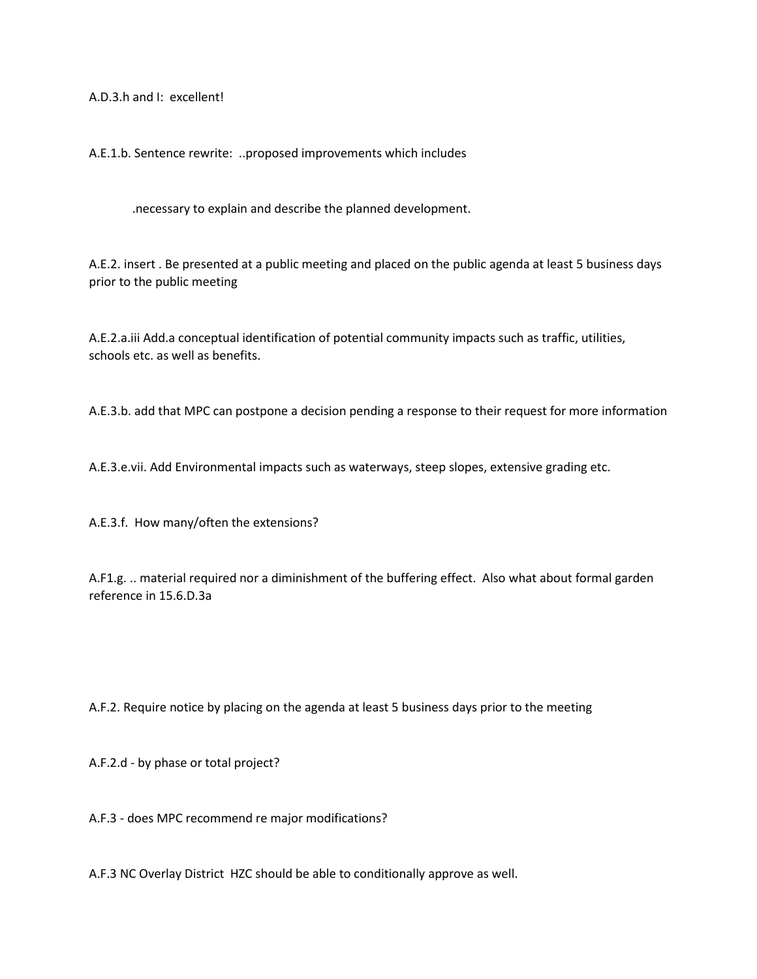A.D.3.h and I: excellent!

A.E.1.b. Sentence rewrite: ..proposed improvements which includes

.necessary to explain and describe the planned development.

A.E.2. insert . Be presented at a public meeting and placed on the public agenda at least 5 business days prior to the public meeting

A.E.2.a.iii Add.a conceptual identification of potential community impacts such as traffic, utilities, schools etc. as well as benefits.

A.E.3.b. add that MPC can postpone a decision pending a response to their request for more information

A.E.3.e.vii. Add Environmental impacts such as waterways, steep slopes, extensive grading etc.

A.E.3.f. How many/often the extensions?

A.F1.g. .. material required nor a diminishment of the buffering effect. Also what about formal garden reference in 15.6.D.3a

A.F.2. Require notice by placing on the agenda at least 5 business days prior to the meeting

A.F.2.d - by phase or total project?

A.F.3 - does MPC recommend re major modifications?

A.F.3 NC Overlay District HZC should be able to conditionally approve as well.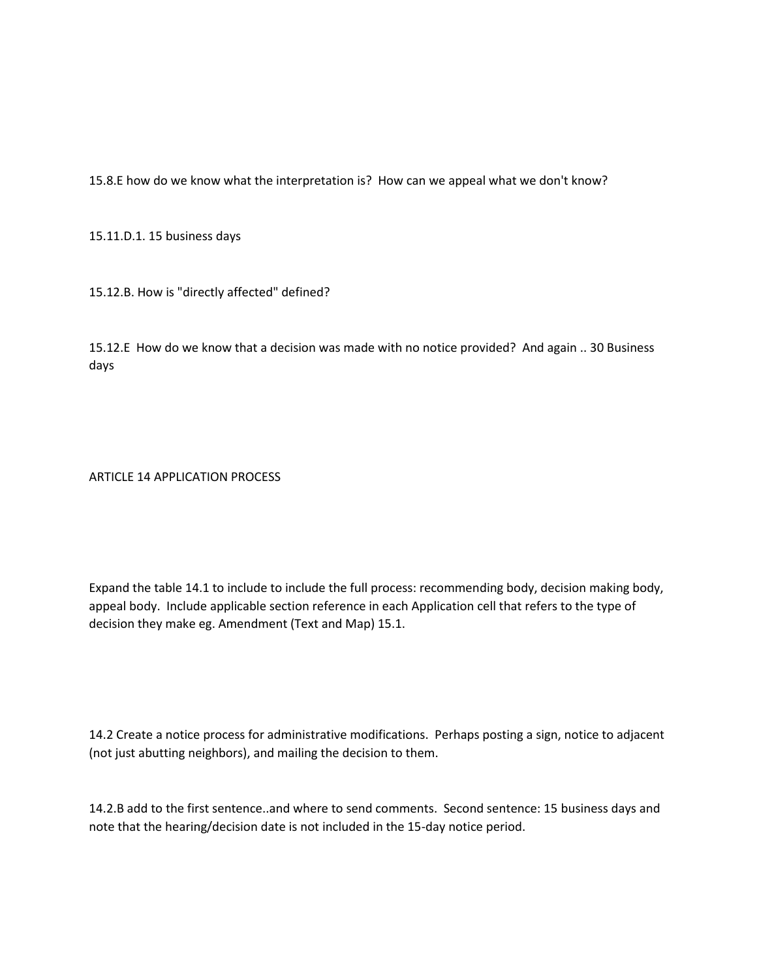15.8.E how do we know what the interpretation is? How can we appeal what we don't know?

15.11.D.1. 15 business days

15.12.B. How is "directly affected" defined?

15.12.E How do we know that a decision was made with no notice provided? And again .. 30 Business days

ARTICLE 14 APPLICATION PROCESS

Expand the table 14.1 to include to include the full process: recommending body, decision making body, appeal body. Include applicable section reference in each Application cell that refers to the type of decision they make eg. Amendment (Text and Map) 15.1.

14.2 Create a notice process for administrative modifications. Perhaps posting a sign, notice to adjacent (not just abutting neighbors), and mailing the decision to them.

14.2.B add to the first sentence..and where to send comments. Second sentence: 15 business days and note that the hearing/decision date is not included in the 15-day notice period.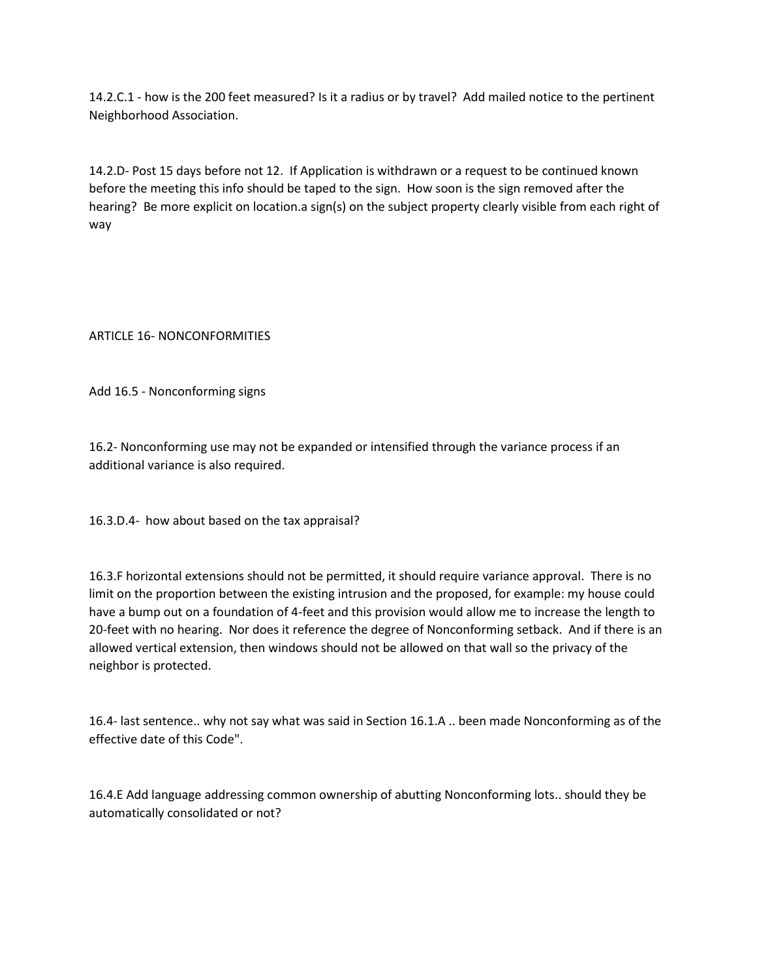14.2.C.1 - how is the 200 feet measured? Is it a radius or by travel? Add mailed notice to the pertinent Neighborhood Association.

14.2.D- Post 15 days before not 12. If Application is withdrawn or a request to be continued known before the meeting this info should be taped to the sign. How soon is the sign removed after the hearing? Be more explicit on location.a sign(s) on the subject property clearly visible from each right of way

ARTICLE 16- NONCONFORMITIES

Add 16.5 - Nonconforming signs

16.2- Nonconforming use may not be expanded or intensified through the variance process if an additional variance is also required.

16.3.D.4- how about based on the tax appraisal?

16.3.F horizontal extensions should not be permitted, it should require variance approval. There is no limit on the proportion between the existing intrusion and the proposed, for example: my house could have a bump out on a foundation of 4-feet and this provision would allow me to increase the length to 20-feet with no hearing. Nor does it reference the degree of Nonconforming setback. And if there is an allowed vertical extension, then windows should not be allowed on that wall so the privacy of the neighbor is protected.

16.4- last sentence.. why not say what was said in Section 16.1.A .. been made Nonconforming as of the effective date of this Code".

16.4.E Add language addressing common ownership of abutting Nonconforming lots.. should they be automatically consolidated or not?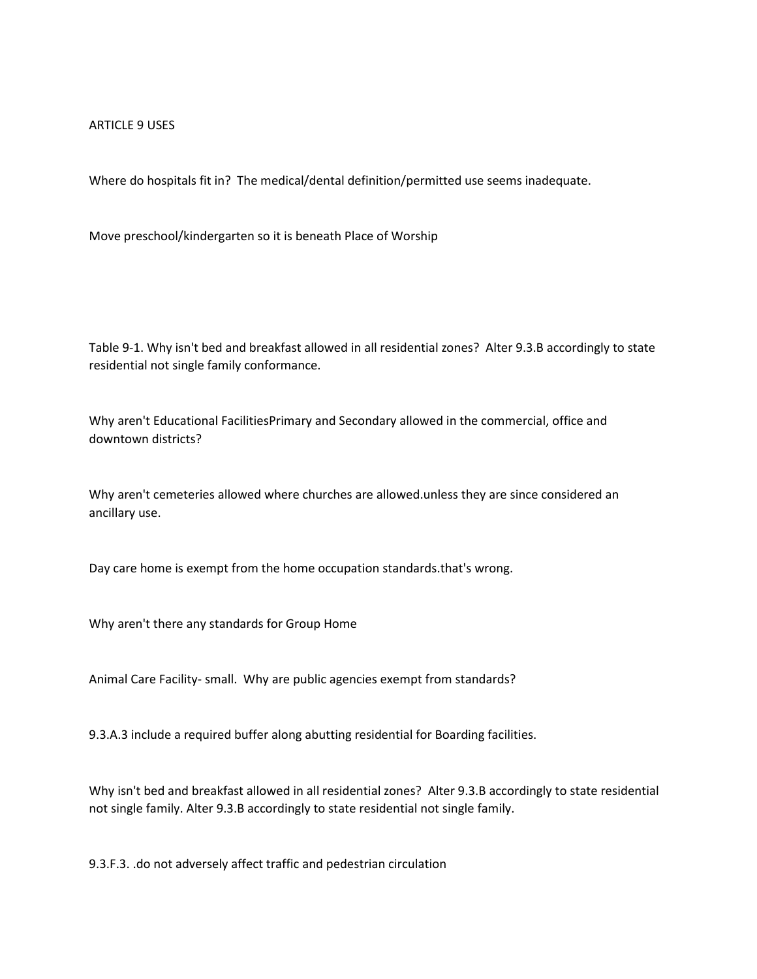#### ARTICLE 9 USES

Where do hospitals fit in? The medical/dental definition/permitted use seems inadequate.

Move preschool/kindergarten so it is beneath Place of Worship

Table 9-1. Why isn't bed and breakfast allowed in all residential zones? Alter 9.3.B accordingly to state residential not single family conformance.

Why aren't Educational FacilitiesPrimary and Secondary allowed in the commercial, office and downtown districts?

Why aren't cemeteries allowed where churches are allowed.unless they are since considered an ancillary use.

Day care home is exempt from the home occupation standards.that's wrong.

Why aren't there any standards for Group Home

Animal Care Facility- small. Why are public agencies exempt from standards?

9.3.A.3 include a required buffer along abutting residential for Boarding facilities.

Why isn't bed and breakfast allowed in all residential zones? Alter 9.3.B accordingly to state residential not single family. Alter 9.3.B accordingly to state residential not single family.

9.3.F.3. .do not adversely affect traffic and pedestrian circulation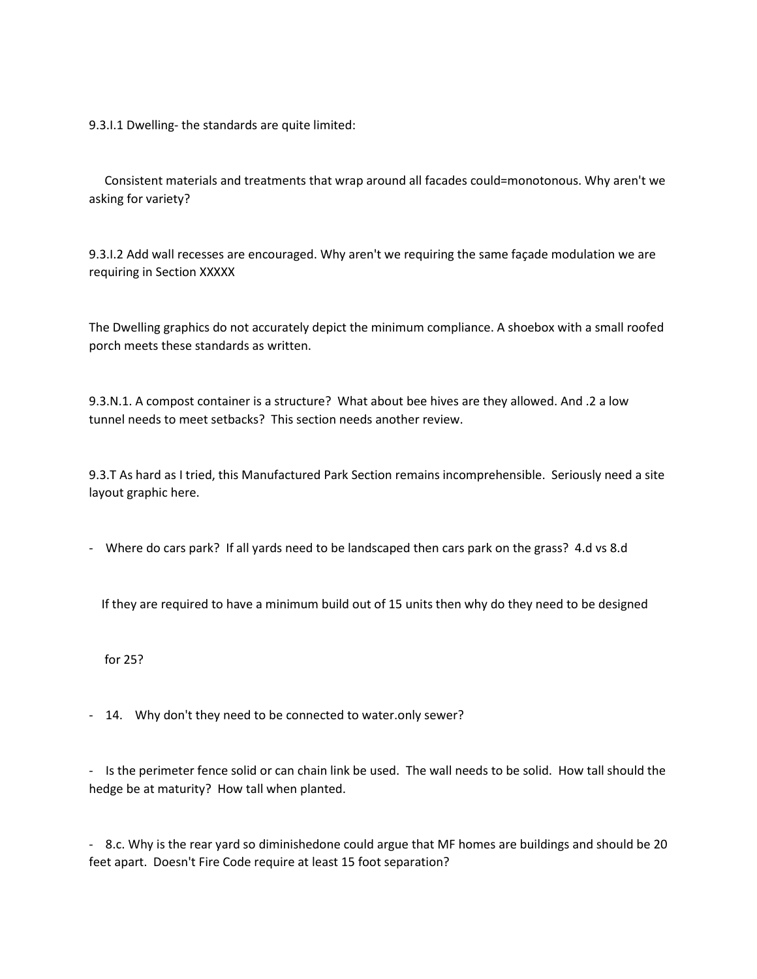9.3.I.1 Dwelling- the standards are quite limited:

Consistent materials and treatments that wrap around all facades could=monotonous. Why aren't we asking for variety?

9.3.I.2 Add wall recesses are encouraged. Why aren't we requiring the same façade modulation we are requiring in Section XXXXX

The Dwelling graphics do not accurately depict the minimum compliance. A shoebox with a small roofed porch meets these standards as written.

9.3.N.1. A compost container is a structure? What about bee hives are they allowed. And .2 a low tunnel needs to meet setbacks? This section needs another review.

9.3.T As hard as I tried, this Manufactured Park Section remains incomprehensible. Seriously need a site layout graphic here.

- Where do cars park? If all yards need to be landscaped then cars park on the grass? 4.d vs 8.d

If they are required to have a minimum build out of 15 units then why do they need to be designed

for 25?

- 14. Why don't they need to be connected to water.only sewer?

- Is the perimeter fence solid or can chain link be used. The wall needs to be solid. How tall should the hedge be at maturity? How tall when planted.

- 8.c. Why is the rear yard so diminishedone could argue that MF homes are buildings and should be 20 feet apart. Doesn't Fire Code require at least 15 foot separation?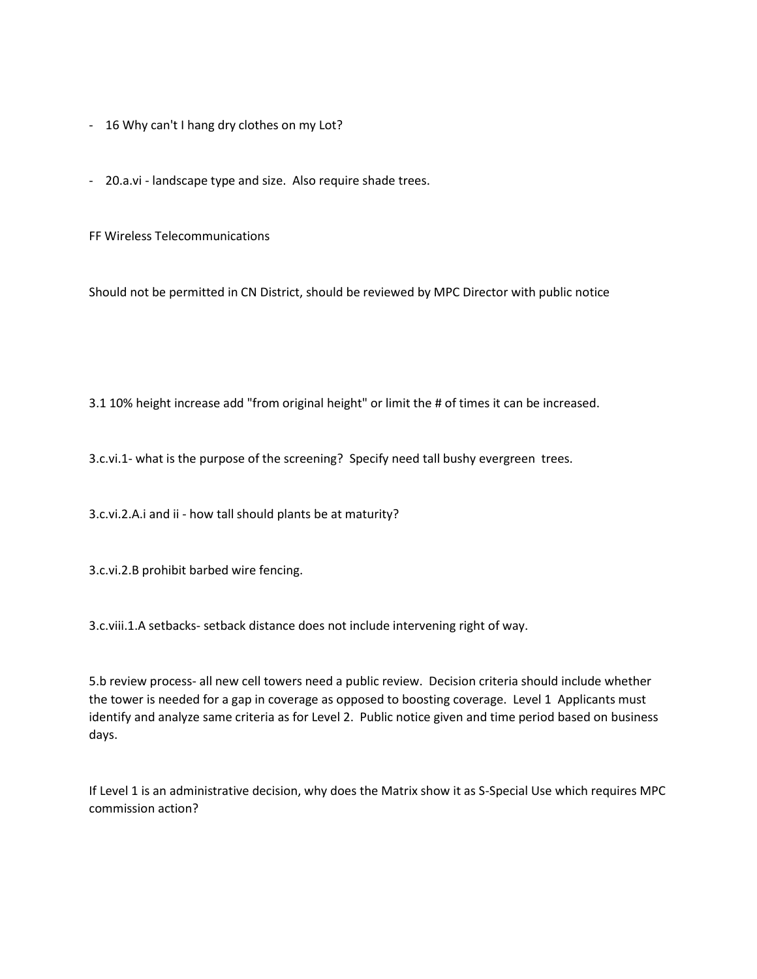- 16 Why can't I hang dry clothes on my Lot?
- 20.a.vi landscape type and size. Also require shade trees.

FF Wireless Telecommunications

Should not be permitted in CN District, should be reviewed by MPC Director with public notice

3.1 10% height increase add "from original height" or limit the # of times it can be increased.

3.c.vi.1- what is the purpose of the screening? Specify need tall bushy evergreen trees.

3.c.vi.2.A.i and ii - how tall should plants be at maturity?

3.c.vi.2.B prohibit barbed wire fencing.

3.c.viii.1.A setbacks- setback distance does not include intervening right of way.

5.b review process- all new cell towers need a public review. Decision criteria should include whether the tower is needed for a gap in coverage as opposed to boosting coverage. Level 1 Applicants must identify and analyze same criteria as for Level 2. Public notice given and time period based on business days.

If Level 1 is an administrative decision, why does the Matrix show it as S-Special Use which requires MPC commission action?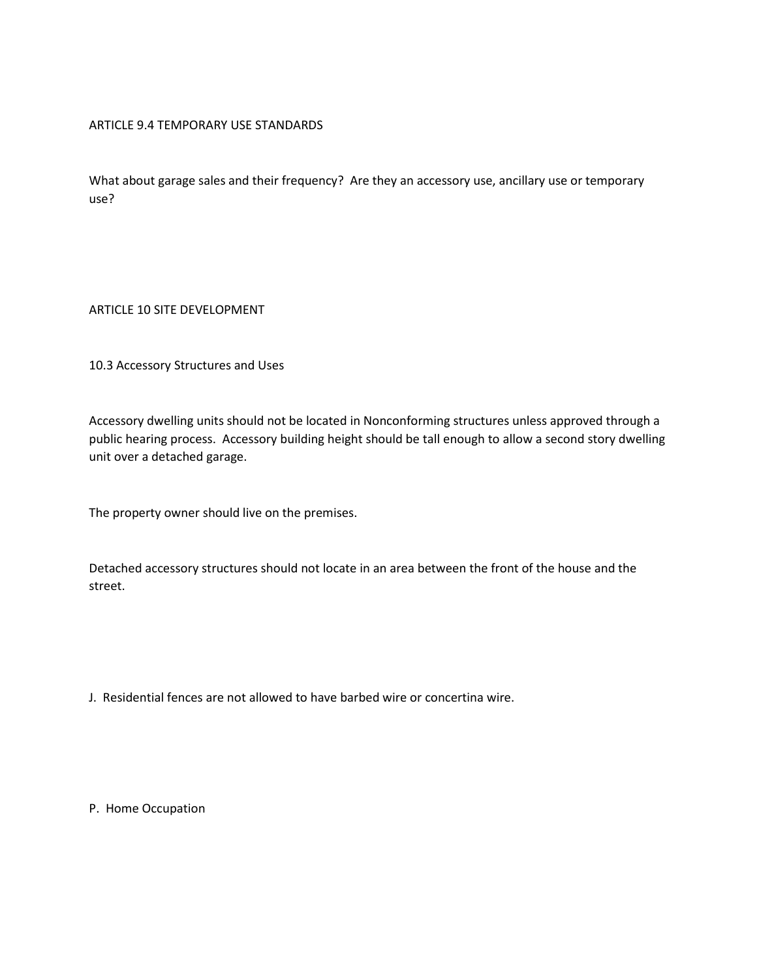# ARTICLE 9.4 TEMPORARY USE STANDARDS

What about garage sales and their frequency? Are they an accessory use, ancillary use or temporary use?

ARTICLE 10 SITE DEVELOPMENT

10.3 Accessory Structures and Uses

Accessory dwelling units should not be located in Nonconforming structures unless approved through a public hearing process. Accessory building height should be tall enough to allow a second story dwelling unit over a detached garage.

The property owner should live on the premises.

Detached accessory structures should not locate in an area between the front of the house and the street.

J. Residential fences are not allowed to have barbed wire or concertina wire.

P. Home Occupation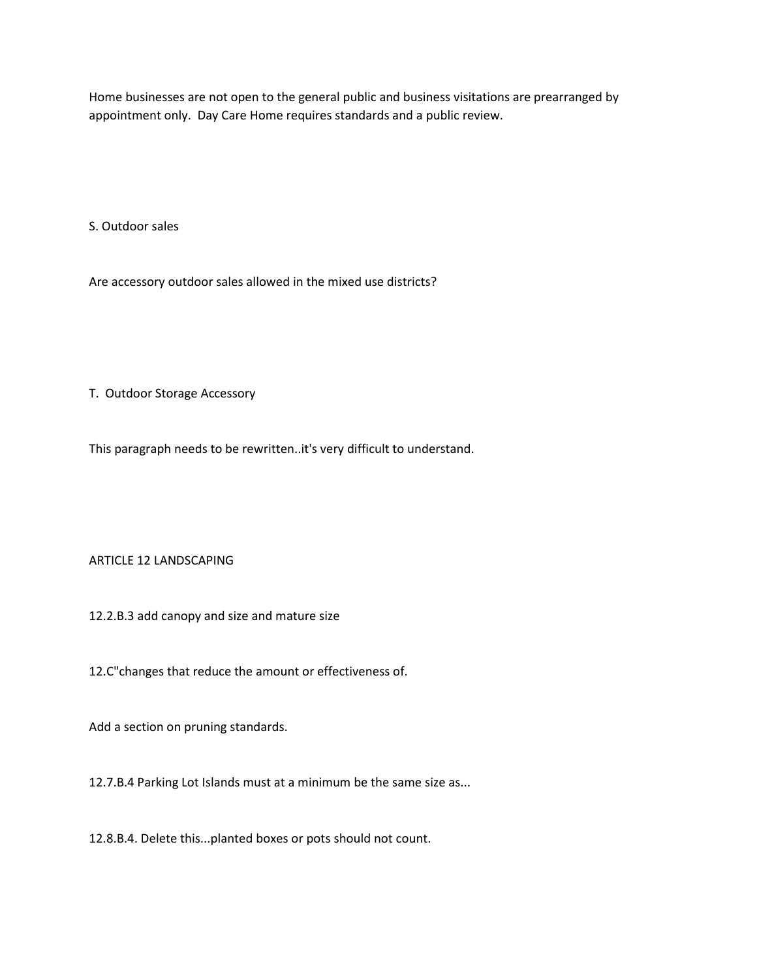Home businesses are not open to the general public and business visitations are prearranged by appointment only. Day Care Home requires standards and a public review.

S. Outdoor sales

Are accessory outdoor sales allowed in the mixed use districts?

T. Outdoor Storage Accessory

This paragraph needs to be rewritten..it's very difficult to understand.

ARTICLE 12 LANDSCAPING

12.2.B.3 add canopy and size and mature size

12.C"changes that reduce the amount or effectiveness of.

Add a section on pruning standards.

12.7.B.4 Parking Lot Islands must at a minimum be the same size as...

12.8.B.4. Delete this...planted boxes or pots should not count.